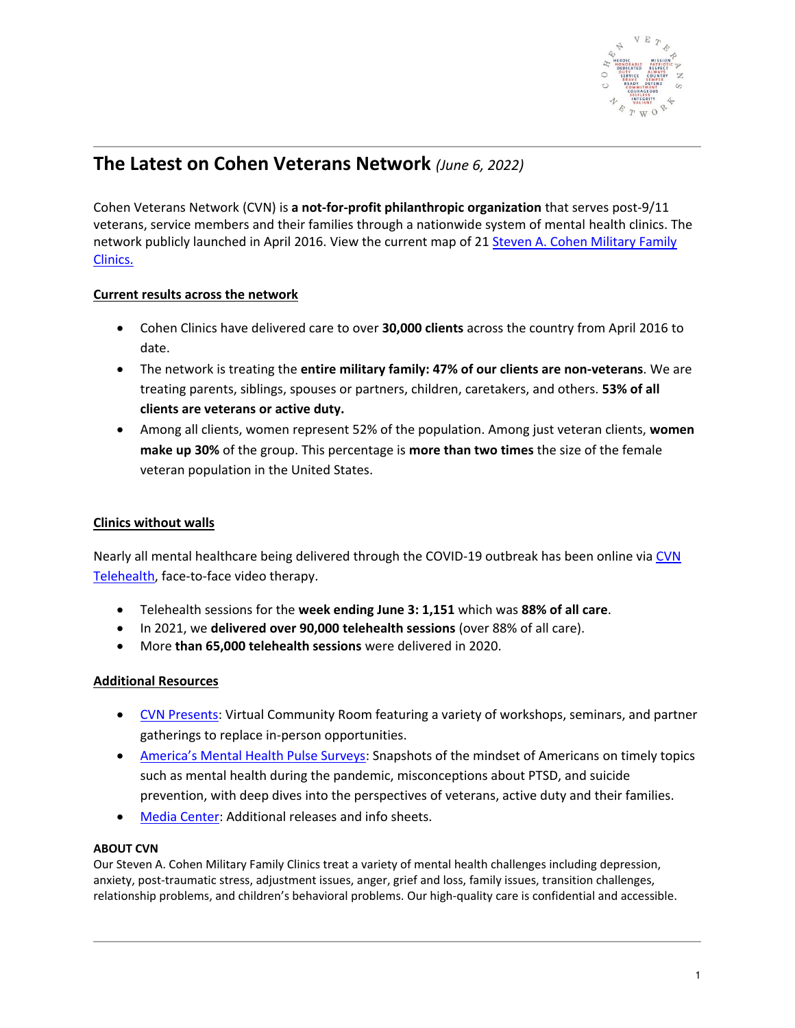

# **The Latest on Cohen Veterans Network** *(June 6, 2022)*

Cohen Veterans Network (CVN) is **a not-for-profit philanthropic organization** that serves post-9/11 veterans, service members and their families through a nationwide system of mental health clinics. The network publicly launched in April 2016. View the current map of 21 [Steven A. Cohen Military Family](https://www.cohenveteransnetwork.org/clinics/)  [Clinics.](https://www.cohenveteransnetwork.org/clinics/)

## **Current results across the network**

- Cohen Clinics have delivered care to over **30,000 clients** across the country from April 2016 to date.
- The network is treating the **entire military family: 47% of our clients are non-veterans**. We are treating parents, siblings, spouses or partners, children, caretakers, and others. **53% of all clients are veterans or active duty.**
- Among all clients, women represent 52% of the population. Among just veteran clients, **women make up 30%** of the group. This percentage is **more than two times** the size of the female veteran population in the United States.

### **Clinics without walls**

Nearly all mental healthcare being delivered through the COVID-19 outbreak has been online via CVN [Telehealth,](https://www.cohenveteransnetwork.org/telehealth/) face-to-face video therapy.

- Telehealth sessions for the **week ending June 3: 1,151** which was **88% of all care**.
- In 2021, we **delivered over 90,000 telehealth sessions** (over 88% of all care).
- More **than 65,000 telehealth sessions** were delivered in 2020.

#### **Additional Resources**

- [CVN Presents:](https://www.cohenveteransnetwork.org/cvnpresents/) Virtual Community Room featuring a variety of workshops, seminars, and partner gatherings to replace in-person opportunities.
- [America's Mental Health Pulse Surveys](https://www.cohenveteransnetwork.org/amhpulse/): Snapshots of the mindset of Americans on timely topics such as mental health during the pandemic, misconceptions about PTSD, and suicide prevention, with deep dives into the perspectives of veterans, active duty and their families.
- [Media Center:](https://www.cohenveteransnetwork.org/inthenews/press/) Additional releases and info sheets.

#### **ABOUT CVN**

Our Steven A. Cohen Military Family Clinics treat a variety of mental health challenges including depression, anxiety, post-traumatic stress, adjustment issues, anger, grief and loss, family issues, transition challenges, relationship problems, and children's behavioral problems. Our high-quality care is confidential and accessible.